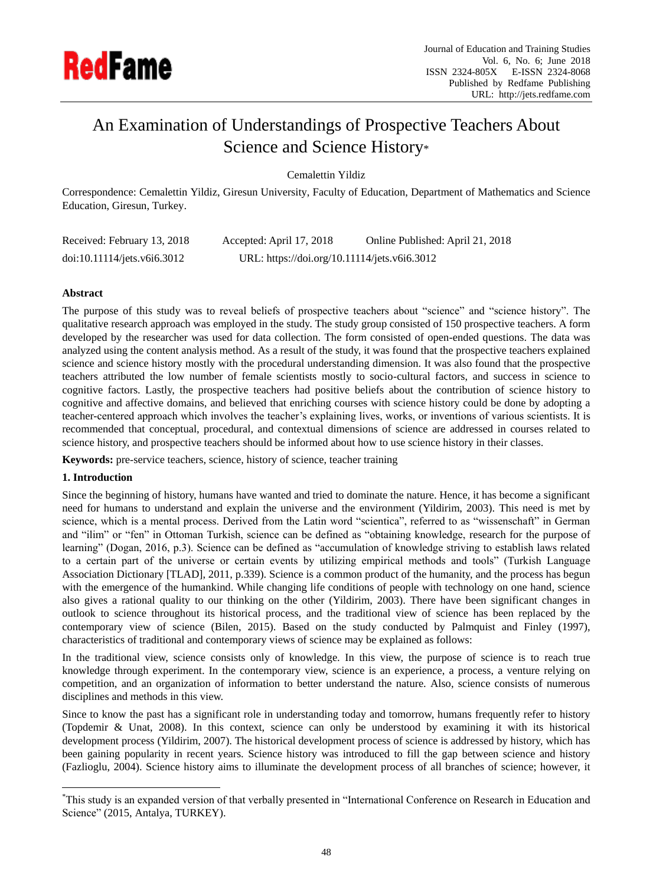

# An Examination of Understandings of Prospective Teachers About Science and Science History\*

Cemalettin Yildiz

Correspondence: Cemalettin Yildiz, Giresun University, Faculty of Education, Department of Mathematics and Science Education, Giresun, Turkey.

| Received: February 13, 2018 | Accepted: April 17, 2018                     | Online Published: April 21, 2018 |
|-----------------------------|----------------------------------------------|----------------------------------|
| doi:10.11114/jets.v6i6.3012 | URL: https://doi.org/10.11114/jets.v6i6.3012 |                                  |

# **Abstract**

The purpose of this study was to reveal beliefs of prospective teachers about "science" and "science history". The qualitative research approach was employed in the study. The study group consisted of 150 prospective teachers. A form developed by the researcher was used for data collection. The form consisted of open-ended questions. The data was analyzed using the content analysis method. As a result of the study, it was found that the prospective teachers explained science and science history mostly with the procedural understanding dimension. It was also found that the prospective teachers attributed the low number of female scientists mostly to socio-cultural factors, and success in science to cognitive factors. Lastly, the prospective teachers had positive beliefs about the contribution of science history to cognitive and affective domains, and believed that enriching courses with science history could be done by adopting a teacher-centered approach which involves the teacher's explaining lives, works, or inventions of various scientists. It is recommended that conceptual, procedural, and contextual dimensions of science are addressed in courses related to science history, and prospective teachers should be informed about how to use science history in their classes.

**Keywords:** pre-service teachers, science, history of science, teacher training

# **1. Introduction**

 $\overline{a}$ 

Since the beginning of history, humans have wanted and tried to dominate the nature. Hence, it has become a significant need for humans to understand and explain the universe and the environment (Yildirim, 2003). This need is met by science, which is a mental process. Derived from the Latin word "scientica", referred to as "wissenschaft" in German and "ilim" or "fen" in Ottoman Turkish, science can be defined as "obtaining knowledge, research for the purpose of learning" (Dogan, 2016, p.3). Science can be defined as "accumulation of knowledge striving to establish laws related to a certain part of the universe or certain events by utilizing empirical methods and tools" (Turkish Language Association Dictionary [TLAD], 2011, p.339). Science is a common product of the humanity, and the process has begun with the emergence of the humankind. While changing life conditions of people with technology on one hand, science also gives a rational quality to our thinking on the other (Yildirim, 2003). There have been significant changes in outlook to science throughout its historical process, and the traditional view of science has been replaced by the contemporary view of science (Bilen, 2015). Based on the study conducted by Palmquist and Finley (1997), characteristics of traditional and contemporary views of science may be explained as follows:

In the traditional view, science consists only of knowledge. In this view, the purpose of science is to reach true knowledge through experiment. In the contemporary view, science is an experience, a process, a venture relying on competition, and an organization of information to better understand the nature. Also, science consists of numerous disciplines and methods in this view.

Since to know the past has a significant role in understanding today and tomorrow, humans frequently refer to history (Topdemir & Unat, 2008). In this context, science can only be understood by examining it with its historical development process (Yildirim, 2007). The historical development process of science is addressed by history, which has been gaining popularity in recent years. Science history was introduced to fill the gap between science and history (Fazlioglu, 2004). Science history aims to illuminate the development process of all branches of science; however, it

<sup>\*</sup>This study is an expanded version of that verbally presented in "International Conference on Research in Education and Science" (2015, Antalya, TURKEY).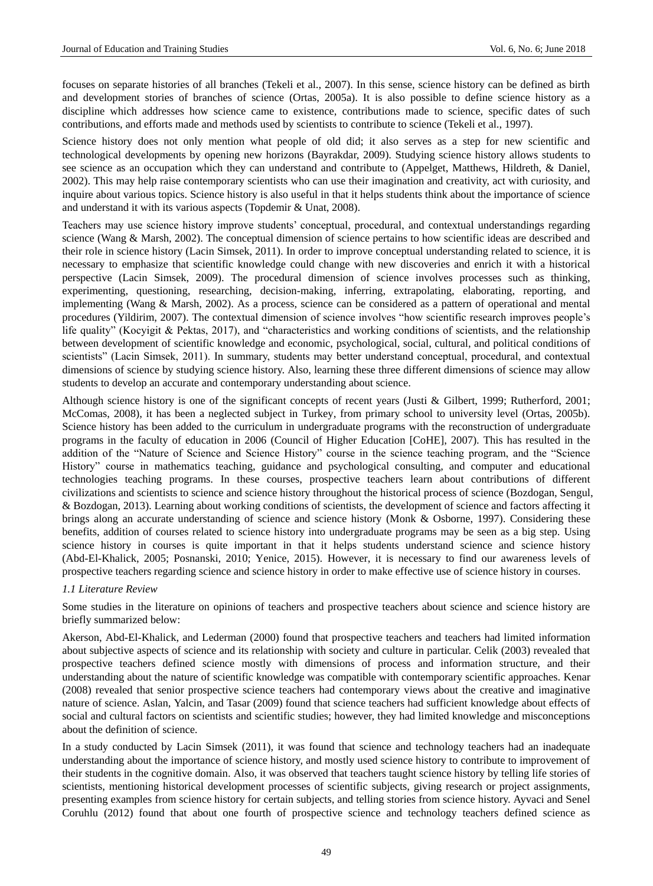focuses on separate histories of all branches (Tekeli et al., 2007). In this sense, science history can be defined as birth and development stories of branches of science (Ortas, 2005a). It is also possible to define science history as a discipline which addresses how science came to existence, contributions made to science, specific dates of such contributions, and efforts made and methods used by scientists to contribute to science (Tekeli et al., 1997).

Science history does not only mention what people of old did; it also serves as a step for new scientific and technological developments by opening new horizons (Bayrakdar, 2009). Studying science history allows students to see science as an occupation which they can understand and contribute to (Appelget, Matthews, Hildreth, & Daniel, 2002). This may help raise contemporary scientists who can use their imagination and creativity, act with curiosity, and inquire about various topics. Science history is also useful in that it helps students think about the importance of science and understand it with its various aspects (Topdemir & Unat, 2008).

Teachers may use science history improve students' conceptual, procedural, and contextual understandings regarding science (Wang & Marsh, 2002). The conceptual dimension of science pertains to how scientific ideas are described and their role in science history (Lacin Simsek, 2011). In order to improve conceptual understanding related to science, it is necessary to emphasize that scientific knowledge could change with new discoveries and enrich it with a historical perspective (Lacin Simsek, 2009). The procedural dimension of science involves processes such as thinking, experimenting, questioning, researching, decision-making, inferring, extrapolating, elaborating, reporting, and implementing (Wang & Marsh, 2002). As a process, science can be considered as a pattern of operational and mental procedures (Yildirim, 2007). The contextual dimension of science involves "how scientific research improves people's life quality" (Kocyigit & Pektas, 2017), and "characteristics and working conditions of scientists, and the relationship between development of scientific knowledge and economic, psychological, social, cultural, and political conditions of scientists" (Lacin Simsek, 2011). In summary, students may better understand conceptual, procedural, and contextual dimensions of science by studying science history. Also, learning these three different dimensions of science may allow students to develop an accurate and contemporary understanding about science.

Although science history is one of the significant concepts of recent years (Justi & Gilbert, 1999; Rutherford, 2001; McComas, 2008), it has been a neglected subject in Turkey, from primary school to university level (Ortas, 2005b). Science history has been added to the curriculum in undergraduate programs with the reconstruction of undergraduate programs in the faculty of education in 2006 (Council of Higher Education [CoHE], 2007). This has resulted in the addition of the "Nature of Science and Science History" course in the science teaching program, and the "Science History" course in mathematics teaching, guidance and psychological consulting, and computer and educational technologies teaching programs. In these courses, prospective teachers learn about contributions of different civilizations and scientists to science and science history throughout the historical process of science (Bozdogan, Sengul, & Bozdogan, 2013). Learning about working conditions of scientists, the development of science and factors affecting it brings along an accurate understanding of science and science history (Monk & Osborne, 1997). Considering these benefits, addition of courses related to science history into undergraduate programs may be seen as a big step. Using science history in courses is quite important in that it helps students understand science and science history (Abd-El-Khalick, 2005; Posnanski, 2010; Yenice, 2015). However, it is necessary to find our awareness levels of prospective teachers regarding science and science history in order to make effective use of science history in courses.

#### *1.1 Literature Review*

Some studies in the literature on opinions of teachers and prospective teachers about science and science history are briefly summarized below:

Akerson, Abd-El-Khalick, and Lederman (2000) found that prospective teachers and teachers had limited information about subjective aspects of science and its relationship with society and culture in particular. Celik (2003) revealed that prospective teachers defined science mostly with dimensions of process and information structure, and their understanding about the nature of scientific knowledge was compatible with contemporary scientific approaches. Kenar (2008) revealed that senior prospective science teachers had contemporary views about the creative and imaginative nature of science. Aslan, Yalcin, and Tasar (2009) found that science teachers had sufficient knowledge about effects of social and cultural factors on scientists and scientific studies; however, they had limited knowledge and misconceptions about the definition of science.

In a study conducted by Lacin Simsek (2011), it was found that science and technology teachers had an inadequate understanding about the importance of science history, and mostly used science history to contribute to improvement of their students in the cognitive domain. Also, it was observed that teachers taught science history by telling life stories of scientists, mentioning historical development processes of scientific subjects, giving research or project assignments, presenting examples from science history for certain subjects, and telling stories from science history. Ayvaci and Senel Coruhlu (2012) found that about one fourth of prospective science and technology teachers defined science as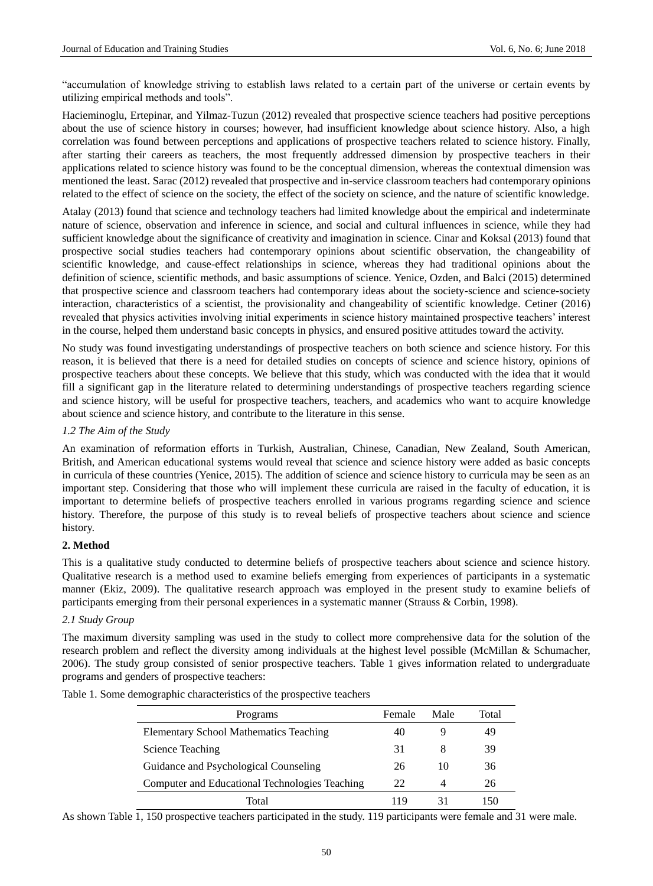"accumulation of knowledge striving to establish laws related to a certain part of the universe or certain events by utilizing empirical methods and tools".

Hacieminoglu, Ertepinar, and Yilmaz-Tuzun (2012) revealed that prospective science teachers had positive perceptions about the use of science history in courses; however, had insufficient knowledge about science history. Also, a high correlation was found between perceptions and applications of prospective teachers related to science history. Finally, after starting their careers as teachers, the most frequently addressed dimension by prospective teachers in their applications related to science history was found to be the conceptual dimension, whereas the contextual dimension was mentioned the least. Sarac (2012) revealed that prospective and in-service classroom teachers had contemporary opinions related to the effect of science on the society, the effect of the society on science, and the nature of scientific knowledge.

Atalay (2013) found that science and technology teachers had limited knowledge about the empirical and indeterminate nature of science, observation and inference in science, and social and cultural influences in science, while they had sufficient knowledge about the significance of creativity and imagination in science. Cinar and Koksal (2013) found that prospective social studies teachers had contemporary opinions about scientific observation, the changeability of scientific knowledge, and cause-effect relationships in science, whereas they had traditional opinions about the definition of science, scientific methods, and basic assumptions of science. Yenice, Ozden, and Balci (2015) determined that prospective science and classroom teachers had contemporary ideas about the society-science and science-society interaction, characteristics of a scientist, the provisionality and changeability of scientific knowledge. Cetiner (2016) revealed that physics activities involving initial experiments in science history maintained prospective teachers' interest in the course, helped them understand basic concepts in physics, and ensured positive attitudes toward the activity.

No study was found investigating understandings of prospective teachers on both science and science history. For this reason, it is believed that there is a need for detailed studies on concepts of science and science history, opinions of prospective teachers about these concepts. We believe that this study, which was conducted with the idea that it would fill a significant gap in the literature related to determining understandings of prospective teachers regarding science and science history, will be useful for prospective teachers, teachers, and academics who want to acquire knowledge about science and science history, and contribute to the literature in this sense.

# *1.2 The Aim of the Study*

An examination of reformation efforts in Turkish, Australian, Chinese, Canadian, New Zealand, South American, British, and American educational systems would reveal that science and science history were added as basic concepts in curricula of these countries (Yenice, 2015). The addition of science and science history to curricula may be seen as an important step. Considering that those who will implement these curricula are raised in the faculty of education, it is important to determine beliefs of prospective teachers enrolled in various programs regarding science and science history. Therefore, the purpose of this study is to reveal beliefs of prospective teachers about science and science history.

# **2. Method**

This is a qualitative study conducted to determine beliefs of prospective teachers about science and science history. Qualitative research is a method used to examine beliefs emerging from experiences of participants in a systematic manner (Ekiz, 2009). The qualitative research approach was employed in the present study to examine beliefs of participants emerging from their personal experiences in a systematic manner (Strauss & Corbin, 1998).

#### *2.1 Study Group*

The maximum diversity sampling was used in the study to collect more comprehensive data for the solution of the research problem and reflect the diversity among individuals at the highest level possible (McMillan & Schumacher, 2006). The study group consisted of senior prospective teachers. Table 1 gives information related to undergraduate programs and genders of prospective teachers:

| Programs                                       | Female | Male | Total |
|------------------------------------------------|--------|------|-------|
| <b>Elementary School Mathematics Teaching</b>  | 40     |      | 49    |
| Science Teaching                               | 31     | 8    | 39    |
| Guidance and Psychological Counseling          | 26     | 10   | 36    |
| Computer and Educational Technologies Teaching | 22     | 4    | 26    |
| Total                                          | 119    |      |       |

Table 1. Some demographic characteristics of the prospective teachers

As shown Table 1, 150 prospective teachers participated in the study. 119 participants were female and 31 were male.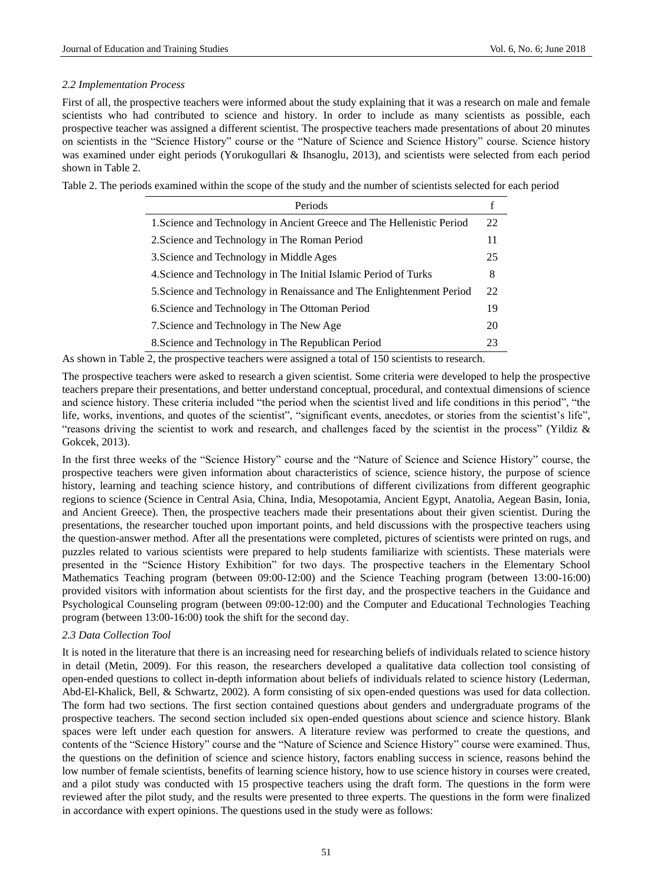# *2.2 Implementation Process*

First of all, the prospective teachers were informed about the study explaining that it was a research on male and female scientists who had contributed to science and history. In order to include as many scientists as possible, each prospective teacher was assigned a different scientist. The prospective teachers made presentations of about 20 minutes on scientists in the "Science History" course or the "Nature of Science and Science History" course. Science history was examined under eight periods (Yorukogullari & Ihsanoglu, 2013), and scientists were selected from each period shown in Table 2.

Table 2. The periods examined within the scope of the study and the number of scientists selected for each period

| Periods                                                                |    |
|------------------------------------------------------------------------|----|
| 1. Science and Technology in Ancient Greece and The Hellenistic Period | 22 |
| 2. Science and Technology in The Roman Period                          | 11 |
| 3. Science and Technology in Middle Ages                               | 25 |
| 4. Science and Technology in The Initial Islamic Period of Turks       | 8  |
| 5. Science and Technology in Renaissance and The Enlightenment Period  | 22 |
| 6. Science and Technology in The Ottoman Period                        | 19 |
| 7. Science and Technology in The New Age                               | 20 |
| 8. Science and Technology in The Republican Period                     | 23 |

As shown in Table 2, the prospective teachers were assigned a total of 150 scientists to research.

The prospective teachers were asked to research a given scientist. Some criteria were developed to help the prospective teachers prepare their presentations, and better understand conceptual, procedural, and contextual dimensions of science and science history. These criteria included "the period when the scientist lived and life conditions in this period", "the life, works, inventions, and quotes of the scientist", "significant events, anecdotes, or stories from the scientist's life", "reasons driving the scientist to work and research, and challenges faced by the scientist in the process" (Yildiz & Gokcek, 2013).

In the first three weeks of the "Science History" course and the "Nature of Science and Science History" course, the prospective teachers were given information about characteristics of science, science history, the purpose of science history, learning and teaching science history, and contributions of different civilizations from different geographic regions to science (Science in Central Asia, China, India, Mesopotamia, Ancient Egypt, Anatolia, Aegean Basin, Ionia, and Ancient Greece). Then, the prospective teachers made their presentations about their given scientist. During the presentations, the researcher touched upon important points, and held discussions with the prospective teachers using the question-answer method. After all the presentations were completed, pictures of scientists were printed on rugs, and puzzles related to various scientists were prepared to help students familiarize with scientists. These materials were presented in the "Science History Exhibition" for two days. The prospective teachers in the Elementary School Mathematics Teaching program (between 09:00-12:00) and the Science Teaching program (between 13:00-16:00) provided visitors with information about scientists for the first day, and the prospective teachers in the Guidance and Psychological Counseling program (between 09:00-12:00) and the Computer and Educational Technologies Teaching program (between 13:00-16:00) took the shift for the second day.

# *2.3 Data Collection Tool*

It is noted in the literature that there is an increasing need for researching beliefs of individuals related to science history in detail (Metin, 2009). For this reason, the researchers developed a qualitative data collection tool consisting of open-ended questions to collect in-depth information about beliefs of individuals related to science history (Lederman, Abd-El-Khalick, Bell, & Schwartz, 2002). A form consisting of six open-ended questions was used for data collection. The form had two sections. The first section contained questions about genders and undergraduate programs of the prospective teachers. The second section included six open-ended questions about science and science history. Blank spaces were left under each question for answers. A literature review was performed to create the questions, and contents of the "Science History" course and the "Nature of Science and Science History" course were examined. Thus, the questions on the definition of science and science history, factors enabling success in science, reasons behind the low number of female scientists, benefits of learning science history, how to use science history in courses were created, and a pilot study was conducted with 15 prospective teachers using the draft form. The questions in the form were reviewed after the pilot study, and the results were presented to three experts. The questions in the form were finalized in accordance with expert opinions. The questions used in the study were as follows: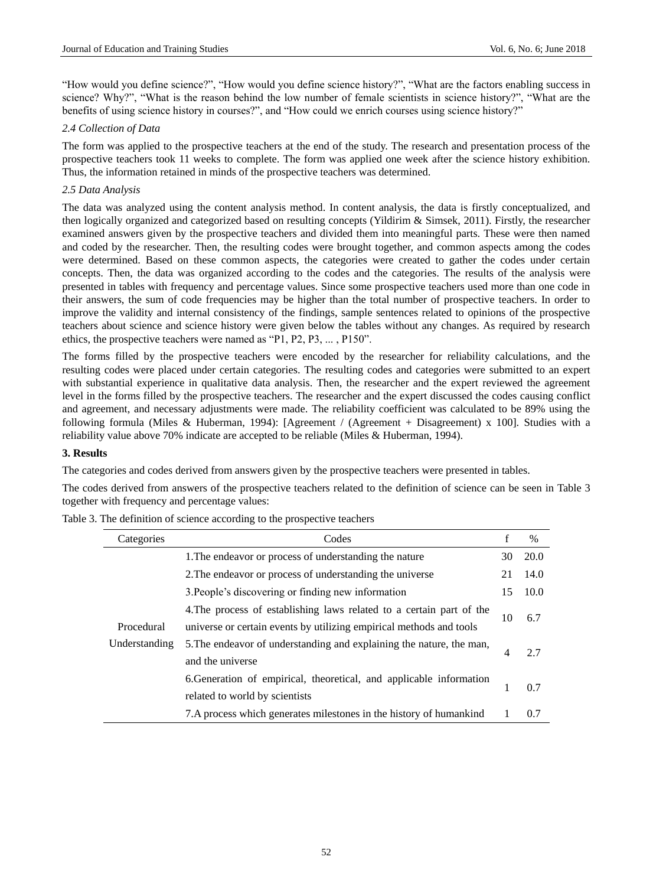"How would you define science?", "How would you define science history?", "What are the factors enabling success in science? Why?", "What is the reason behind the low number of female scientists in science history?", "What are the benefits of using science history in courses?", and "How could we enrich courses using science history?"

# *2.4 Collection of Data*

The form was applied to the prospective teachers at the end of the study. The research and presentation process of the prospective teachers took 11 weeks to complete. The form was applied one week after the science history exhibition. Thus, the information retained in minds of the prospective teachers was determined.

# *2.5 Data Analysis*

The data was analyzed using the content analysis method. In content analysis, the data is firstly conceptualized, and then logically organized and categorized based on resulting concepts (Yildirim & Simsek, 2011). Firstly, the researcher examined answers given by the prospective teachers and divided them into meaningful parts. These were then named and coded by the researcher. Then, the resulting codes were brought together, and common aspects among the codes were determined. Based on these common aspects, the categories were created to gather the codes under certain concepts. Then, the data was organized according to the codes and the categories. The results of the analysis were presented in tables with frequency and percentage values. Since some prospective teachers used more than one code in their answers, the sum of code frequencies may be higher than the total number of prospective teachers. In order to improve the validity and internal consistency of the findings, sample sentences related to opinions of the prospective teachers about science and science history were given below the tables without any changes. As required by research ethics, the prospective teachers were named as "P1, P2, P3, ... , P150".

The forms filled by the prospective teachers were encoded by the researcher for reliability calculations, and the resulting codes were placed under certain categories. The resulting codes and categories were submitted to an expert with substantial experience in qualitative data analysis. Then, the researcher and the expert reviewed the agreement level in the forms filled by the prospective teachers. The researcher and the expert discussed the codes causing conflict and agreement, and necessary adjustments were made. The reliability coefficient was calculated to be 89% using the following formula (Miles & Huberman, 1994): [Agreement / (Agreement + Disagreement) x 100]. Studies with a reliability value above 70% indicate are accepted to be reliable (Miles & Huberman, 1994).

#### **3. Results**

The categories and codes derived from answers given by the prospective teachers were presented in tables.

The codes derived from answers of the prospective teachers related to the definition of science can be seen in Table 3 together with frequency and percentage values:

| Categories    | Codes                                                                | $\mathbf f$ | $\%$ |
|---------------|----------------------------------------------------------------------|-------------|------|
|               | 1. The endeavor or process of understanding the nature               | 30          | 20.0 |
|               | 2. The endeavor or process of understanding the universe             | 21          | 14.0 |
|               | 3. People's discovering or finding new information                   | 15          | 10.0 |
|               | 4. The process of establishing laws related to a certain part of the |             |      |
| Procedural    | universe or certain events by utilizing empirical methods and tools  | 10          | 6.7  |
| Understanding | 5. The endeavor of understanding and explaining the nature, the man, |             | 2.7  |
|               | and the universe                                                     | 4           |      |
|               | 6. Generation of empirical, theoretical, and applicable information  |             | 0.7  |
|               | related to world by scientists                                       |             |      |
|               | 7. A process which generates milestones in the history of humankind  |             | 0.7  |

Table 3. The definition of science according to the prospective teachers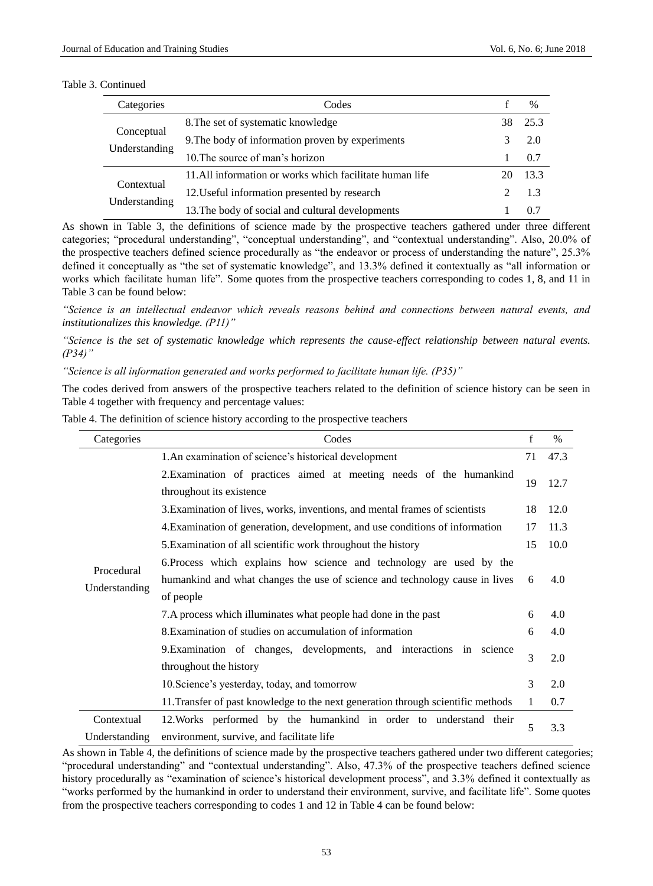#### Table 3. Continued

| Categories                  | Codes                                                   |     | $\%$ |
|-----------------------------|---------------------------------------------------------|-----|------|
|                             | 8. The set of systematic knowledge                      | 38. | 25.3 |
| Conceptual                  | 9. The body of information proven by experiments        |     | 2.0  |
| Understanding               | 10. The source of man's horizon                         |     | 0.7  |
|                             | 11.All information or works which facilitate human life |     | 13.3 |
| Contextual<br>Understanding | 12. Useful information presented by research            |     | 1.3  |
|                             | 13. The body of social and cultural developments        |     | 0.7  |

As shown in Table 3, the definitions of science made by the prospective teachers gathered under three different categories; "procedural understanding", "conceptual understanding", and "contextual understanding". Also, 20.0% of the prospective teachers defined science procedurally as "the endeavor or process of understanding the nature", 25.3% defined it conceptually as "the set of systematic knowledge", and 13.3% defined it contextually as "all information or works which facilitate human life". Some quotes from the prospective teachers corresponding to codes 1, 8, and 11 in Table 3 can be found below:

*"Science is an intellectual endeavor which reveals reasons behind and connections between natural events, and institutionalizes this knowledge. (P11)"*

*"Science is the set of systematic knowledge which represents the cause-effect relationship between natural events. (P34)"*

*"Science is all information generated and works performed to facilitate human life. (P35)"*

The codes derived from answers of the prospective teachers related to the definition of science history can be seen in Table 4 together with frequency and percentage values:

| Table 4. The definition of science history according to the prospective teachers |  |
|----------------------------------------------------------------------------------|--|
|                                                                                  |  |

| Categories                  | Codes                                                                                                          | $\mathbf f$  | $\%$ |
|-----------------------------|----------------------------------------------------------------------------------------------------------------|--------------|------|
|                             | 1.An examination of science's historical development                                                           | 71           | 47.3 |
|                             | 2. Examination of practices aimed at meeting needs of the humankind<br>throughout its existence                | 19           | 12.7 |
|                             | 3. Examination of lives, works, inventions, and mental frames of scientists                                    | 18           | 12.0 |
|                             | 4. Examination of generation, development, and use conditions of information                                   | 17           | 11.3 |
|                             | 5. Examination of all scientific work throughout the history                                                   | 15           | 10.0 |
|                             | 6. Process which explains how science and technology are used by the                                           |              |      |
| Procedural                  | humankind and what changes the use of science and technology cause in lives                                    | 6            | 4.0  |
| Understanding               | of people                                                                                                      |              |      |
|                             | 7. A process which illuminates what people had done in the past                                                | 6            | 4.0  |
|                             | 8. Examination of studies on accumulation of information                                                       | 6            | 4.0  |
|                             | 9. Examination of changes, developments, and interactions in science<br>throughout the history                 | 3            | 2.0  |
|                             | 10. Science's yesterday, today, and tomorrow                                                                   | 3            | 2.0  |
|                             | 11. Transfer of past knowledge to the next generation through scientific methods                               | $\mathbf{1}$ | 0.7  |
| Contextual<br>Understanding | 12. Works performed by the humankind in order to understand their<br>environment, survive, and facilitate life | 5            | 3.3  |

As shown in Table 4, the definitions of science made by the prospective teachers gathered under two different categories; "procedural understanding" and "contextual understanding". Also, 47.3% of the prospective teachers defined science history procedurally as "examination of science's historical development process", and 3.3% defined it contextually as "works performed by the humankind in order to understand their environment, survive, and facilitate life". Some quotes from the prospective teachers corresponding to codes 1 and 12 in Table 4 can be found below: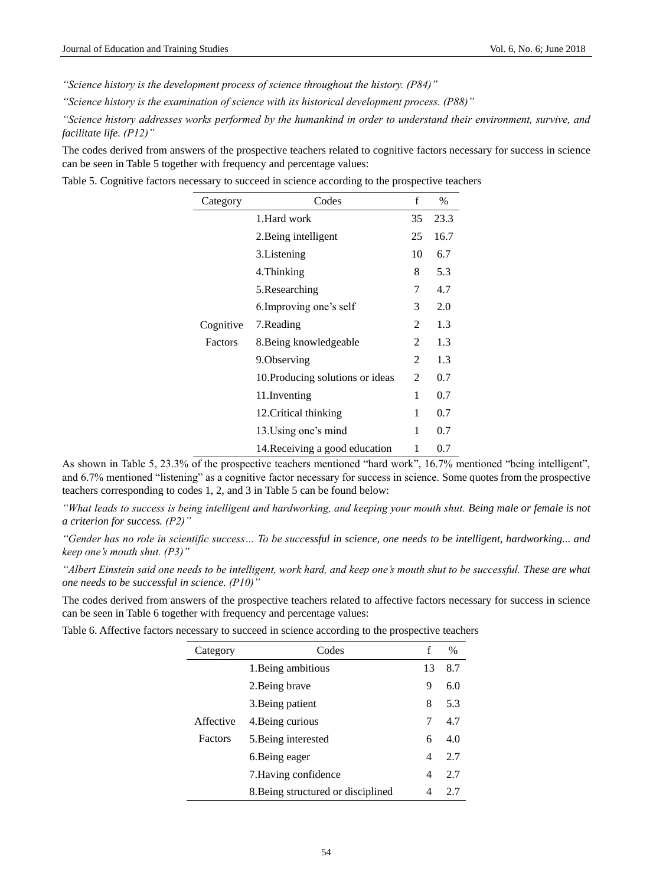*"Science history is the development process of science throughout the history. (P84)"*

*"Science history is the examination of science with its historical development process. (P88)"*

*"Science history addresses works performed by the humankind in order to understand their environment, survive, and facilitate life. (P12)"*

The codes derived from answers of the prospective teachers related to cognitive factors necessary for success in science can be seen in Table 5 together with frequency and percentage values:

Table 5. Cognitive factors necessary to succeed in science according to the prospective teachers

| Category  | Codes                            | f  | $\%$ |
|-----------|----------------------------------|----|------|
|           | 1. Hard work                     | 35 | 23.3 |
|           | 2. Being intelligent             | 25 | 16.7 |
|           | 3. Listening                     | 10 | 6.7  |
|           | 4. Thinking                      | 8  | 5.3  |
|           | 5.Researching                    | 7  | 4.7  |
|           | 6. Improving one's self          | 3  | 2.0  |
| Cognitive | 7. Reading                       | 2  | 1.3  |
| Factors   | 8. Being knowledgeable           | 2  | 1.3  |
|           | 9. Observing                     | 2  | 1.3  |
|           | 10. Producing solutions or ideas | 2  | 0.7  |
|           | 11. Inventing                    | 1  | 0.7  |
|           | 12. Critical thinking            | 1  | 0.7  |
|           | 13. Using one's mind             | 1  | 0.7  |
|           | 14. Receiving a good education   | 1  | 0.7  |

As shown in Table 5, 23.3% of the prospective teachers mentioned "hard work", 16.7% mentioned "being intelligent", and 6.7% mentioned "listening" as a cognitive factor necessary for success in science. Some quotes from the prospective teachers corresponding to codes 1, 2, and 3 in Table 5 can be found below:

*"What leads to success is being intelligent and hardworking, and keeping your mouth shut. Being male or female is not a criterion for success. (P2)"*

*"Gender has no role in scientific success… To be successful in science, one needs to be intelligent, hardworking... and keep one's mouth shut. (P3)"*

*"Albert Einstein said one needs to be intelligent, work hard, and keep one's mouth shut to be successful. These are what one needs to be successful in science. (P10)"*

The codes derived from answers of the prospective teachers related to affective factors necessary for success in science can be seen in Table 6 together with frequency and percentage values:

Table 6. Affective factors necessary to succeed in science according to the prospective teachers

| Category  | Codes                              | f  | $\%$ |
|-----------|------------------------------------|----|------|
|           | 1. Being ambitious                 | 13 | 8.7  |
|           | 2. Being brave                     | 9  | 6.0  |
|           | 3. Being patient                   | 8  | 5.3  |
| Affective | 4. Being curious                   | 7  | 4.7  |
| Factors   | 5. Being interested                | 6  | 4.0  |
|           | 6. Being eager                     | 4  | 2.7  |
|           | 7. Having confidence               | 4  | 2.7  |
|           | 8. Being structured or disciplined | 4  | 2.7  |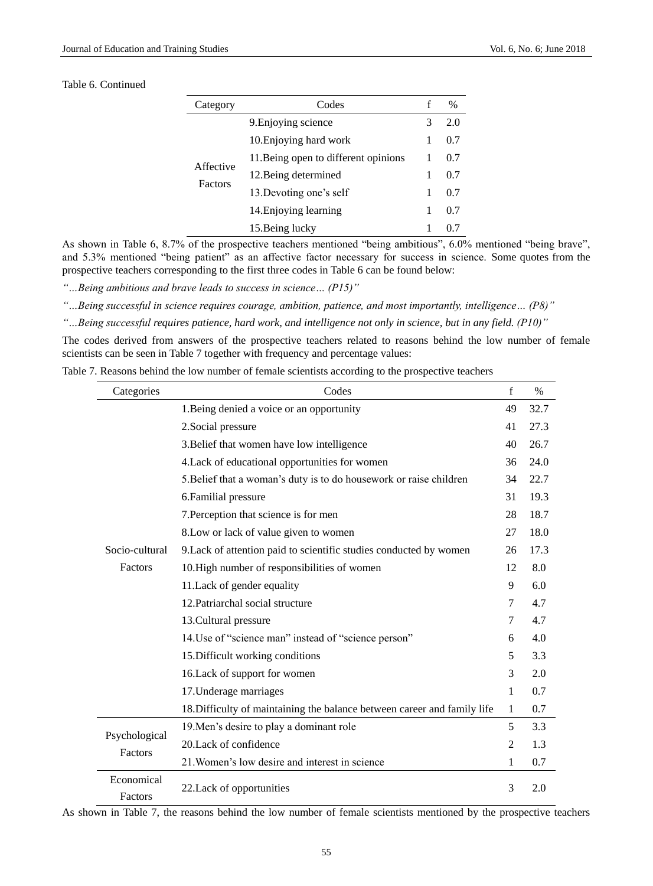# Table 6. Continued

| Category             | Codes                                | f | $\frac{0}{0}$ |
|----------------------|--------------------------------------|---|---------------|
|                      | 9. Enjoying science                  | 3 | 2.0           |
|                      | 10. Enjoying hard work               |   | 0.7           |
| Affective<br>Factors | 11. Being open to different opinions |   | 0.7           |
|                      | 12. Being determined                 |   | 0.7           |
|                      | 13. Devoting one's self              |   | 0.7           |
|                      | 14. Enjoying learning                |   | 0.7           |
|                      | 15. Being lucky                      |   |               |

As shown in Table 6, 8.7% of the prospective teachers mentioned "being ambitious", 6.0% mentioned "being brave", and 5.3% mentioned "being patient" as an affective factor necessary for success in science. Some quotes from the prospective teachers corresponding to the first three codes in Table 6 can be found below:

*"…Being ambitious and brave leads to success in science… (P15)"*

*"…Being successful in science requires courage, ambition, patience, and most importantly, intelligence… (P8)"*

*"…Being successful requires patience, hard work, and intelligence not only in science, but in any field. (P10)"*

The codes derived from answers of the prospective teachers related to reasons behind the low number of female scientists can be seen in Table 7 together with frequency and percentage values:

Table 7. Reasons behind the low number of female scientists according to the prospective teachers

| Categories               | Codes                                                                    | f              | $\%$ |
|--------------------------|--------------------------------------------------------------------------|----------------|------|
|                          | 1. Being denied a voice or an opportunity                                | 49             | 32.7 |
|                          | 2. Social pressure                                                       | 41             | 27.3 |
|                          | 3. Belief that women have low intelligence                               | 40             | 26.7 |
|                          | 4. Lack of educational opportunities for women                           | 36             | 24.0 |
|                          | 5. Belief that a woman's duty is to do housework or raise children       | 34             | 22.7 |
|                          | 6. Familial pressure                                                     | 31             | 19.3 |
|                          | 7. Perception that science is for men                                    | 28             | 18.7 |
|                          | 8. Low or lack of value given to women                                   | 27             | 18.0 |
| Socio-cultural           | 9. Lack of attention paid to scientific studies conducted by women       | 26             | 17.3 |
| Factors                  | 10. High number of responsibilities of women                             | 12             | 8.0  |
|                          | 11. Lack of gender equality                                              | 9              | 6.0  |
|                          | 12. Patriarchal social structure                                         | $\tau$         | 4.7  |
|                          | 13. Cultural pressure                                                    | $\tau$         | 4.7  |
|                          | 14. Use of "science man" instead of "science person"                     | 6              | 4.0  |
|                          | 15. Difficult working conditions                                         | 5              | 3.3  |
|                          | 16. Lack of support for women                                            | 3              | 2.0  |
|                          | 17. Underage marriages                                                   | 1              | 0.7  |
|                          | 18. Difficulty of maintaining the balance between career and family life | 1              | 0.7  |
|                          | 19. Men's desire to play a dominant role                                 | 5              | 3.3  |
| Psychological<br>Factors | 20.Lack of confidence                                                    | $\overline{2}$ | 1.3  |
|                          | 21. Women's low desire and interest in science                           | 1              | 0.7  |
| Economical<br>Factors    | 22. Lack of opportunities                                                | 3              | 2.0  |

As shown in Table 7, the reasons behind the low number of female scientists mentioned by the prospective teachers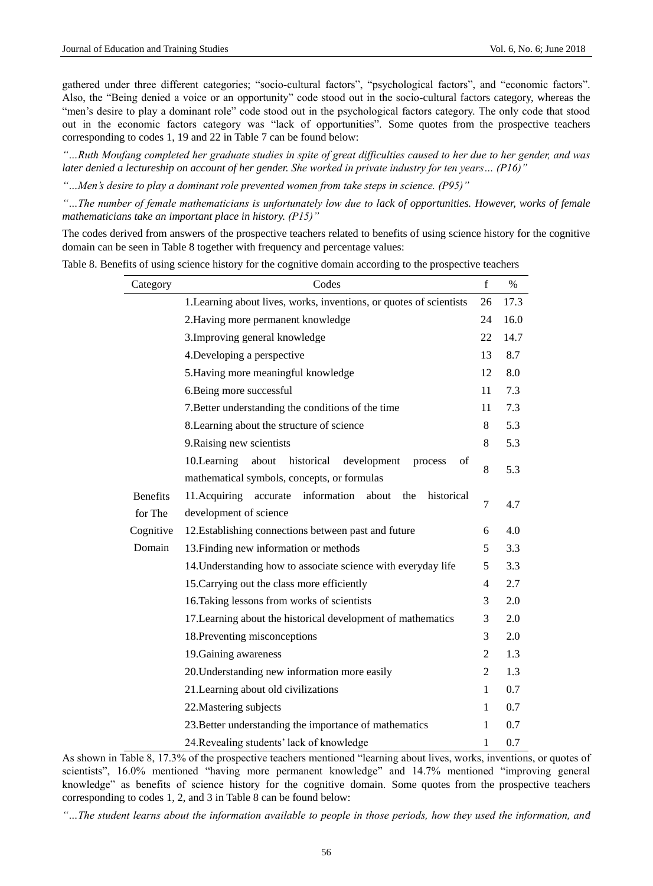gathered under three different categories; "socio-cultural factors", "psychological factors", and "economic factors". Also, the "Being denied a voice or an opportunity" code stood out in the socio-cultural factors category, whereas the "men's desire to play a dominant role" code stood out in the psychological factors category. The only code that stood out in the economic factors category was "lack of opportunities". Some quotes from the prospective teachers corresponding to codes 1, 19 and 22 in Table 7 can be found below:

*"…Ruth Moufang completed her graduate studies in spite of great difficulties caused to her due to her gender, and was later denied a lectureship on account of her gender. She worked in private industry for ten years… (P16)"*

*"…Men's desire to play a dominant role prevented women from take steps in science. (P95)"*

*"…The number of female mathematicians is unfortunately low due to lack of opportunities. However, works of female mathematicians take an important place in history. (P15)"*

The codes derived from answers of the prospective teachers related to benefits of using science history for the cognitive domain can be seen in Table 8 together with frequency and percentage values:

| Category                   | Codes                                                                                                             | $\mathbf{f}$   | $\%$ |
|----------------------------|-------------------------------------------------------------------------------------------------------------------|----------------|------|
|                            | 1. Learning about lives, works, inventions, or quotes of scientists                                               | 26             | 17.3 |
|                            | 2. Having more permanent knowledge                                                                                | 24             | 16.0 |
|                            | 3. Improving general knowledge                                                                                    | 22             | 14.7 |
|                            | 4. Developing a perspective                                                                                       | 13             | 8.7  |
|                            | 5. Having more meaningful knowledge                                                                               | 12             | 8.0  |
|                            | 6. Being more successful                                                                                          | 11             | 7.3  |
|                            | 7. Better understanding the conditions of the time                                                                | 11             | 7.3  |
|                            | 8. Learning about the structure of science                                                                        | 8              | 5.3  |
|                            | 9. Raising new scientists                                                                                         | 8              | 5.3  |
|                            | 10.Learning<br>historical<br>about<br>development<br>of<br>process<br>mathematical symbols, concepts, or formulas | 8              | 5.3  |
| <b>Benefits</b><br>for The | 11.Acquiring<br>information<br>about<br>historical<br>accurate<br>the<br>development of science                   | $\overline{7}$ | 4.7  |
| Cognitive                  | 12. Establishing connections between past and future                                                              | 6              | 4.0  |
| Domain                     | 13. Finding new information or methods                                                                            | 5              | 3.3  |
|                            | 14. Understanding how to associate science with everyday life                                                     | 5              | 3.3  |
|                            | 15. Carrying out the class more efficiently                                                                       | $\overline{4}$ | 2.7  |
|                            | 16. Taking lessons from works of scientists                                                                       | 3              | 2.0  |
|                            | 17. Learning about the historical development of mathematics                                                      | 3              | 2.0  |
|                            | 18. Preventing misconceptions                                                                                     | 3              | 2.0  |
|                            | 19. Gaining awareness                                                                                             | $\overline{2}$ | 1.3  |
|                            | 20. Understanding new information more easily                                                                     | $\overline{2}$ | 1.3  |
|                            | 21. Learning about old civilizations                                                                              | 1              | 0.7  |
|                            | 22. Mastering subjects                                                                                            | $\mathbf{1}$   | 0.7  |
|                            | 23. Better understanding the importance of mathematics                                                            | 1              | 0.7  |
|                            | 24. Revealing students' lack of knowledge                                                                         | 1              | 0.7  |

Table 8. Benefits of using science history for the cognitive domain according to the prospective teachers

As shown in Table 8, 17.3% of the prospective teachers mentioned "learning about lives, works, inventions, or quotes of scientists", 16.0% mentioned "having more permanent knowledge" and 14.7% mentioned "improving general knowledge" as benefits of science history for the cognitive domain. Some quotes from the prospective teachers corresponding to codes 1, 2, and 3 in Table 8 can be found below:

*"…The student learns about the information available to people in those periods, how they used the information, and*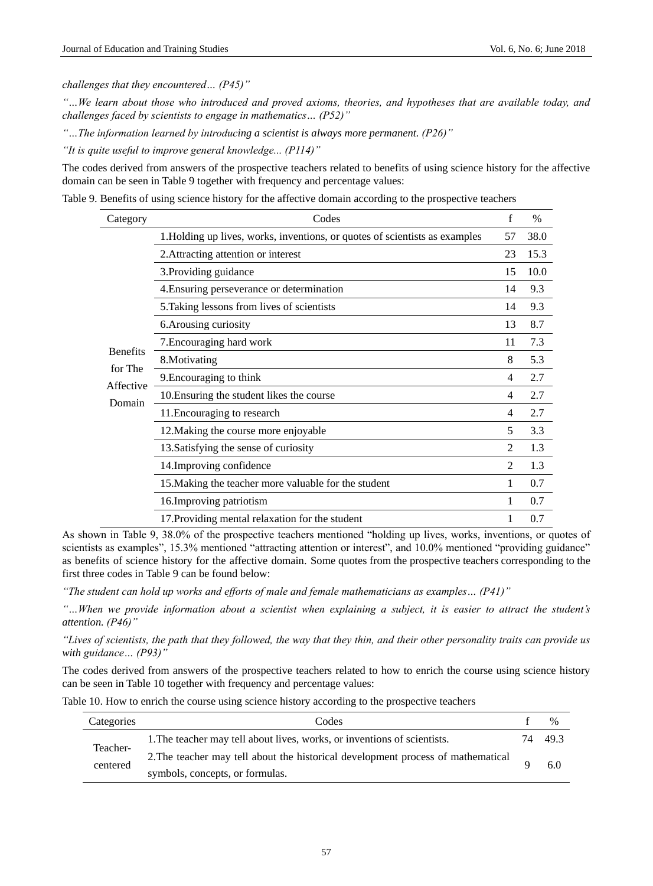*challenges that they encountered… (P45)"*

*"…We learn about those who introduced and proved axioms, theories, and hypotheses that are available today, and challenges faced by scientists to engage in mathematics… (P52)"*

*"…The information learned by introducing a scientist is always more permanent. (P26)"*

*"It is quite useful to improve general knowledge... (P114)"*

The codes derived from answers of the prospective teachers related to benefits of using science history for the affective domain can be seen in Table 9 together with frequency and percentage values:

Table 9. Benefits of using science history for the affective domain according to the prospective teachers

| Category        | Codes                                                                       | $\mathbf f$    | $\%$ |
|-----------------|-----------------------------------------------------------------------------|----------------|------|
|                 | 1. Holding up lives, works, inventions, or quotes of scientists as examples | 57             | 38.0 |
|                 | 2. Attracting attention or interest                                         | 23             | 15.3 |
|                 | 3. Providing guidance                                                       | 15             | 10.0 |
|                 | 4. Ensuring perseverance or determination                                   | 14             | 9.3  |
|                 | 5. Taking lessons from lives of scientists                                  | 14             | 9.3  |
|                 | 6. Arousing curiosity                                                       | 13             | 8.7  |
|                 | 7. Encouraging hard work                                                    | 11             | 7.3  |
| <b>Benefits</b> | 8. Motivating                                                               | 8              | 5.3  |
| for The         | 9. Encouraging to think                                                     | 4              | 2.7  |
| Affective       | 10. Ensuring the student likes the course                                   | 4              | 2.7  |
| Domain          | 11. Encouraging to research                                                 | 4              | 2.7  |
|                 | 12. Making the course more enjoyable                                        | 5              | 3.3  |
|                 | 13. Satisfying the sense of curiosity                                       | 2              | 1.3  |
|                 | 14. Improving confidence                                                    | $\mathfrak{D}$ | 1.3  |
|                 | 15. Making the teacher more valuable for the student                        |                | 0.7  |
|                 | 16. Improving patriotism                                                    |                | 0.7  |
|                 | 17. Providing mental relaxation for the student                             |                | 0.7  |

As shown in Table 9, 38.0% of the prospective teachers mentioned "holding up lives, works, inventions, or quotes of scientists as examples", 15.3% mentioned "attracting attention or interest", and 10.0% mentioned "providing guidance" as benefits of science history for the affective domain. Some quotes from the prospective teachers corresponding to the first three codes in Table 9 can be found below:

*"The student can hold up works and efforts of male and female mathematicians as examples… (P41)"*

*"…When we provide information about a scientist when explaining a subject, it is easier to attract the student's attention. (P46)"*

*"Lives of scientists, the path that they followed, the way that they thin, and their other personality traits can provide us with guidance… (P93)"*

The codes derived from answers of the prospective teachers related to how to enrich the course using science history can be seen in Table 10 together with frequency and percentage values:

Table 10. How to enrich the course using science history according to the prospective teachers

| Categories           | Codes                                                                            |    | $\%$ |
|----------------------|----------------------------------------------------------------------------------|----|------|
| Teacher-<br>centered | 1. The teacher may tell about lives, works, or inventions of scientists.         | 74 | 49.3 |
|                      | 2. The teacher may tell about the historical development process of mathematical |    | 6.0  |
|                      | symbols, concepts, or formulas.                                                  |    |      |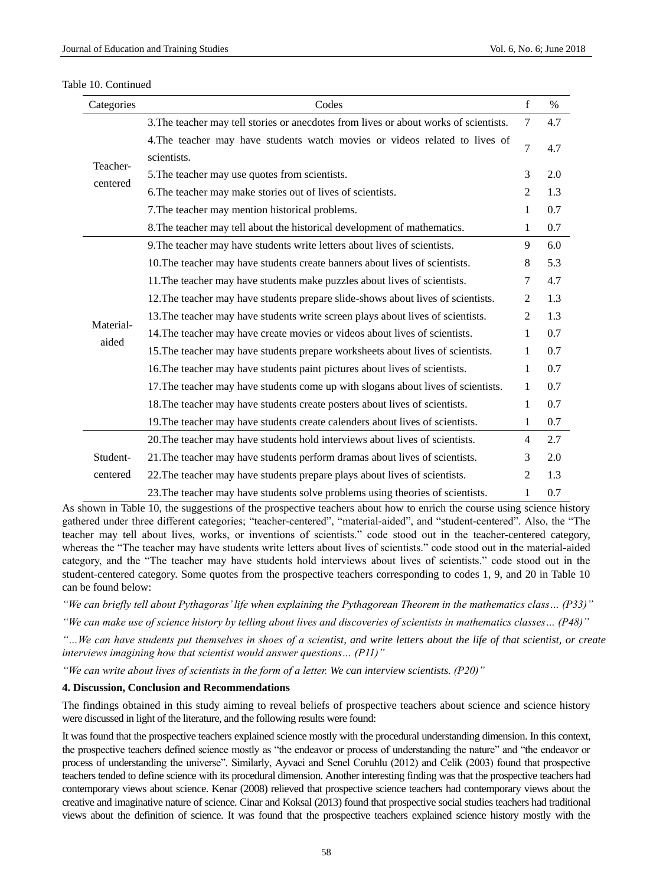| Categories           | Codes                                                                                      | f              | $\frac{0}{0}$ |
|----------------------|--------------------------------------------------------------------------------------------|----------------|---------------|
| Teacher-<br>centered | 3. The teacher may tell stories or anecdotes from lives or about works of scientists.      | 7              | 4.7           |
|                      | 4. The teacher may have students watch movies or videos related to lives of<br>scientists. | $\overline{7}$ | 4.7           |
|                      | 5. The teacher may use quotes from scientists.                                             | 3              | 2.0           |
|                      | 6. The teacher may make stories out of lives of scientists.                                | $\overline{2}$ | 1.3           |
|                      | 7. The teacher may mention historical problems.                                            | 1              | 0.7           |
|                      | 8. The teacher may tell about the historical development of mathematics.                   | 1              | 0.7           |
| Material-<br>aided   | 9. The teacher may have students write letters about lives of scientists.                  | 9              | 6.0           |
|                      | 10. The teacher may have students create banners about lives of scientists.                | 8              | 5.3           |
|                      | 11. The teacher may have students make puzzles about lives of scientists.                  | 7              | 4.7           |
|                      | 12. The teacher may have students prepare slide-shows about lives of scientists.           | $\overline{2}$ | 1.3           |
|                      | 13. The teacher may have students write screen plays about lives of scientists.            | $\overline{2}$ | 1.3           |
|                      | 14. The teacher may have create movies or videos about lives of scientists.                | 1              | 0.7           |
|                      | 15. The teacher may have students prepare worksheets about lives of scientists.            | 1              | 0.7           |
|                      | 16. The teacher may have students paint pictures about lives of scientists.                | 1              | 0.7           |
|                      | 17. The teacher may have students come up with slogans about lives of scientists.          | 1              | 0.7           |
|                      | 18. The teacher may have students create posters about lives of scientists.                | 1              | 0.7           |
|                      | 19. The teacher may have students create calenders about lives of scientists.              | $\mathbf{1}$   | 0.7           |
| Student-<br>centered | 20. The teacher may have students hold interviews about lives of scientists.               | $\overline{4}$ | 2.7           |
|                      | 21. The teacher may have students perform dramas about lives of scientists.                | 3              | 2.0           |
|                      | 22. The teacher may have students prepare plays about lives of scientists.                 | $\overline{2}$ | 1.3           |
|                      | 23. The teacher may have students solve problems using theories of scientists.             | 1              | 0.7           |

#### Table 10. Continued

As shown in Table 10, the suggestions of the prospective teachers about how to enrich the course using science history gathered under three different categories; "teacher-centered", "material-aided", and "student-centered". Also, the "The teacher may tell about lives, works, or inventions of scientists." code stood out in the teacher-centered category, whereas the "The teacher may have students write letters about lives of scientists." code stood out in the material-aided category, and the "The teacher may have students hold interviews about lives of scientists." code stood out in the student-centered category. Some quotes from the prospective teachers corresponding to codes 1, 9, and 20 in Table 10 can be found below:

*"We can briefly tell about Pythagoras' life when explaining the Pythagorean Theorem in the mathematics class… (P33)"*

*"We can make use of science history by telling about lives and discoveries of scientists in mathematics classes… (P48)"*

*"…We can have students put themselves in shoes of a scientist, and write letters about the life of that scientist, or create interviews imagining how that scientist would answer questions… (P11)"*

*"We can write about lives of scientists in the form of a letter. We can interview scientists. (P20)"*

# **4. Discussion, Conclusion and Recommendations**

The findings obtained in this study aiming to reveal beliefs of prospective teachers about science and science history were discussed in light of the literature, and the following results were found:

It was found that the prospective teachers explained science mostly with the procedural understanding dimension. In this context, the prospective teachers defined science mostly as "the endeavor or process of understanding the nature" and "the endeavor or process of understanding the universe". Similarly, Ayvaci and Senel Coruhlu (2012) and Celik (2003) found that prospective teachers tended to define science with its procedural dimension. Another interesting finding was that the prospective teachers had contemporary views about science. Kenar (2008) relieved that prospective science teachers had contemporary views about the creative and imaginative nature of science. Cinar and Koksal (2013) found that prospective social studies teachers had traditional views about the definition of science. It was found that the prospective teachers explained science history mostly with the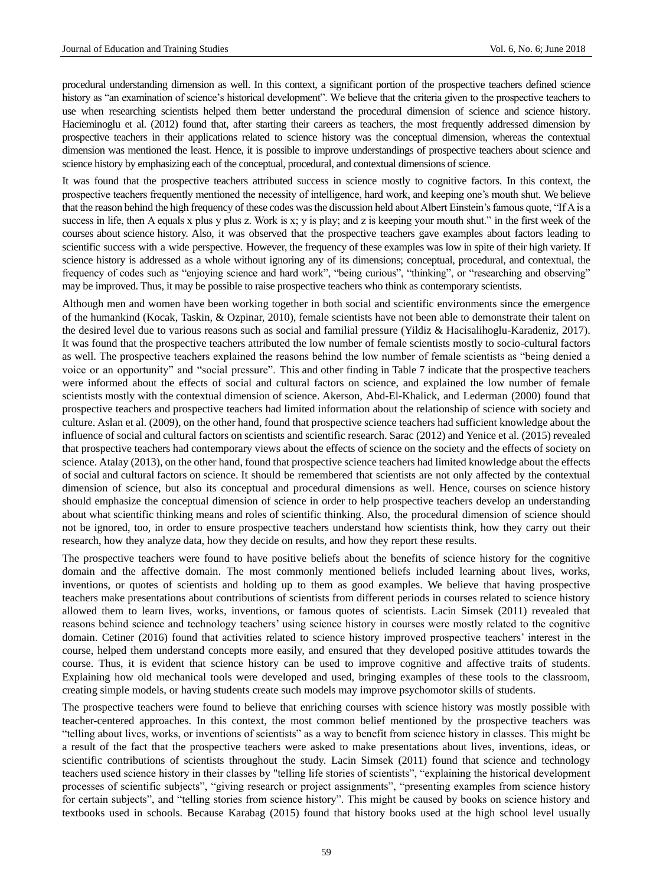procedural understanding dimension as well. In this context, a significant portion of the prospective teachers defined science history as "an examination of science's historical development". We believe that the criteria given to the prospective teachers to use when researching scientists helped them better understand the procedural dimension of science and science history. Hacieminoglu et al. (2012) found that, after starting their careers as teachers, the most frequently addressed dimension by prospective teachers in their applications related to science history was the conceptual dimension, whereas the contextual dimension was mentioned the least. Hence, it is possible to improve understandings of prospective teachers about science and science history by emphasizing each of the conceptual, procedural, and contextual dimensions of science.

It was found that the prospective teachers attributed success in science mostly to cognitive factors. In this context, the prospective teachers frequently mentioned the necessity of intelligence, hard work, and keeping one's mouth shut. We believe that the reason behind the high frequency of these codes was the discussion held about Albert Einstein's famous quote, "If A is a success in life, then A equals x plus y plus z. Work is x; y is play; and z is keeping your mouth shut." in the first week of the courses about science history. Also, it was observed that the prospective teachers gave examples about factors leading to scientific success with a wide perspective. However, the frequency of these examples was low in spite of their high variety. If science history is addressed as a whole without ignoring any of its dimensions; conceptual, procedural, and contextual, the frequency of codes such as "enjoying science and hard work", "being curious", "thinking", or "researching and observing" may be improved. Thus, it may be possible to raise prospective teachers who think as contemporary scientists.

Although men and women have been working together in both social and scientific environments since the emergence of the humankind (Kocak, Taskin, & Ozpinar, 2010), female scientists have not been able to demonstrate their talent on the desired level due to various reasons such as social and familial pressure (Yildiz & Hacisalihoglu-Karadeniz, 2017). It was found that the prospective teachers attributed the low number of female scientists mostly to socio-cultural factors as well. The prospective teachers explained the reasons behind the low number of female scientists as "being denied a voice or an opportunity" and "social pressure". This and other finding in Table 7 indicate that the prospective teachers were informed about the effects of social and cultural factors on science, and explained the low number of female scientists mostly with the contextual dimension of science. Akerson, Abd-El-Khalick, and Lederman (2000) found that prospective teachers and prospective teachers had limited information about the relationship of science with society and culture. Aslan et al. (2009), on the other hand, found that prospective science teachers had sufficient knowledge about the influence of social and cultural factors on scientists and scientific research. Sarac (2012) and Yenice et al. (2015) revealed that prospective teachers had contemporary views about the effects of science on the society and the effects of society on science. Atalay (2013), on the other hand, found that prospective science teachers had limited knowledge about the effects of social and cultural factors on science. It should be remembered that scientists are not only affected by the contextual dimension of science, but also its conceptual and procedural dimensions as well. Hence, courses on science history should emphasize the conceptual dimension of science in order to help prospective teachers develop an understanding about what scientific thinking means and roles of scientific thinking. Also, the procedural dimension of science should not be ignored, too, in order to ensure prospective teachers understand how scientists think, how they carry out their research, how they analyze data, how they decide on results, and how they report these results.

The prospective teachers were found to have positive beliefs about the benefits of science history for the cognitive domain and the affective domain. The most commonly mentioned beliefs included learning about lives, works, inventions, or quotes of scientists and holding up to them as good examples. We believe that having prospective teachers make presentations about contributions of scientists from different periods in courses related to science history allowed them to learn lives, works, inventions, or famous quotes of scientists. Lacin Simsek (2011) revealed that reasons behind science and technology teachers' using science history in courses were mostly related to the cognitive domain. Cetiner (2016) found that activities related to science history improved prospective teachers' interest in the course, helped them understand concepts more easily, and ensured that they developed positive attitudes towards the course. Thus, it is evident that science history can be used to improve cognitive and affective traits of students. Explaining how old mechanical tools were developed and used, bringing examples of these tools to the classroom, creating simple models, or having students create such models may improve psychomotor skills of students.

The prospective teachers were found to believe that enriching courses with science history was mostly possible with teacher-centered approaches. In this context, the most common belief mentioned by the prospective teachers was "telling about lives, works, or inventions of scientists" as a way to benefit from science history in classes. This might be a result of the fact that the prospective teachers were asked to make presentations about lives, inventions, ideas, or scientific contributions of scientists throughout the study. Lacin Simsek (2011) found that science and technology teachers used science history in their classes by "telling life stories of scientists", "explaining the historical development processes of scientific subjects", "giving research or project assignments", "presenting examples from science history for certain subjects", and "telling stories from science history". This might be caused by books on science history and textbooks used in schools. Because Karabag (2015) found that history books used at the high school level usually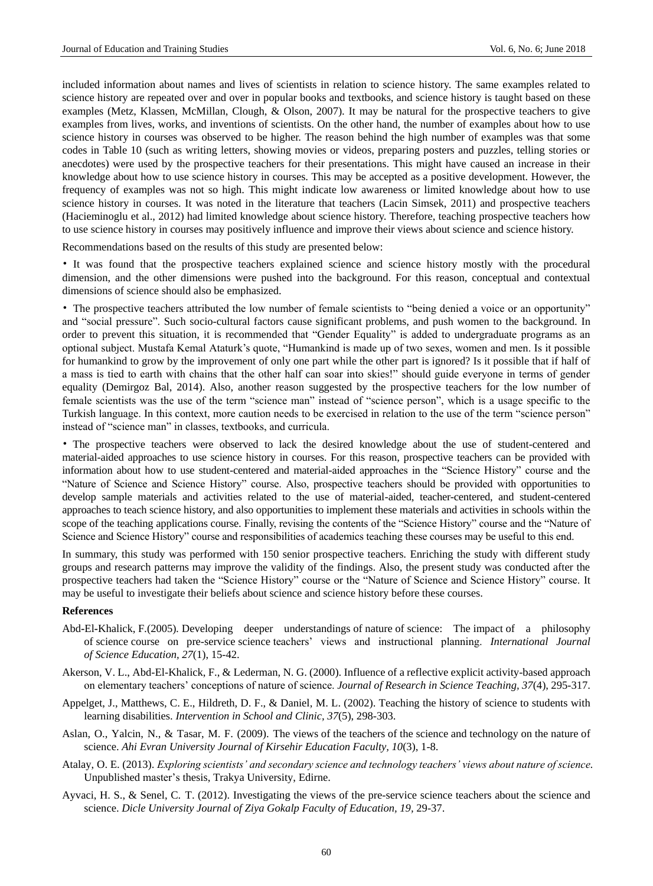included information about names and lives of scientists in relation to science history. The same examples related to science history are repeated over and over in popular books and textbooks, and science history is taught based on these examples (Metz, Klassen, McMillan, Clough, & Olson, 2007). It may be natural for the prospective teachers to give examples from lives, works, and inventions of scientists. On the other hand, the number of examples about how to use science history in courses was observed to be higher. The reason behind the high number of examples was that some codes in Table 10 (such as writing letters, showing movies or videos, preparing posters and puzzles, telling stories or anecdotes) were used by the prospective teachers for their presentations. This might have caused an increase in their knowledge about how to use science history in courses. This may be accepted as a positive development. However, the frequency of examples was not so high. This might indicate low awareness or limited knowledge about how to use science history in courses. It was noted in the literature that teachers (Lacin Simsek, 2011) and prospective teachers (Hacieminoglu et al., 2012) had limited knowledge about science history. Therefore, teaching prospective teachers how to use science history in courses may positively influence and improve their views about science and science history.

Recommendations based on the results of this study are presented below:

• It was found that the prospective teachers explained science and science history mostly with the procedural dimension, and the other dimensions were pushed into the background. For this reason, conceptual and contextual dimensions of science should also be emphasized.

• The prospective teachers attributed the low number of female scientists to "being denied a voice or an opportunity" and "social pressure". Such socio-cultural factors cause significant problems, and push women to the background. In order to prevent this situation, it is recommended that "Gender Equality" is added to undergraduate programs as an optional subject. Mustafa Kemal Ataturk's quote, "Humankind is made up of two sexes, women and men. Is it possible for humankind to grow by the improvement of only one part while the other part is ignored? Is it possible that if half of a mass is tied to earth with chains that the other half can soar into skies!" should guide everyone in terms of gender equality (Demirgoz Bal, 2014). Also, another reason suggested by the prospective teachers for the low number of female scientists was the use of the term "science man" instead of "science person", which is a usage specific to the Turkish language. In this context, more caution needs to be exercised in relation to the use of the term "science person" instead of "science man" in classes, textbooks, and curricula.

• The prospective teachers were observed to lack the desired knowledge about the use of student-centered and material-aided approaches to use science history in courses. For this reason, prospective teachers can be provided with information about how to use student-centered and material-aided approaches in the "Science History" course and the "Nature of Science and Science History" course. Also, prospective teachers should be provided with opportunities to develop sample materials and activities related to the use of material-aided, teacher-centered, and student-centered approaches to teach science history, and also opportunities to implement these materials and activities in schools within the scope of the teaching applications course. Finally, revising the contents of the "Science History" course and the "Nature of Science and Science History" course and responsibilities of academics teaching these courses may be useful to this end.

In summary, this study was performed with 150 senior prospective teachers. Enriching the study with different study groups and research patterns may improve the validity of the findings. Also, the present study was conducted after the prospective teachers had taken the "Science History" course or the "Nature of Science and Science History" course. It may be useful to investigate their beliefs about science and science history before these courses.

# **References**

- Abd*-*El*-*Khalick, F*.*(2005)*.* Developing deeper understandings of nature of science: The impact of a philosophy of science course on pre-service science teachers' views and instructional planning. *International Journal of Science Education, 27*(1), 15-42.
- Akerson, V. L., Abd-El-Khalick, F., & Lederman, N. G. (2000). Influence of a reflective explicit activity-based approach on elementary teachers' conceptions of nature of science. *Journal of Research in Science Teaching, 37*(4), 295-317.
- Appelget, J., Matthews, C. E., Hildreth, D. F., & Daniel, M. L. (2002). Teaching the history of science to students with learning disabilities. *Intervention in School and Clinic, 37*(5), 298-303.
- Aslan, O., Yalcin, N., & Tasar, M. F. (2009). The views of the teachers of the science and technology on the nature of science. *Ahi Evran University Journal of Kirsehir Education Faculty, 10*(3), 1-8.
- Atalay, O. E. (2013). *Exploring scientists' and secondary science and technology teachers' views about nature of science.* Unpublished master's thesis, Trakya University, Edirne.
- Ayvaci, H. S., & Senel, C. T. (2012). Investigating the views of the pre-service science teachers about the science and science. *Dicle University Journal of Ziya Gokalp Faculty of Education, 19,* 29-37.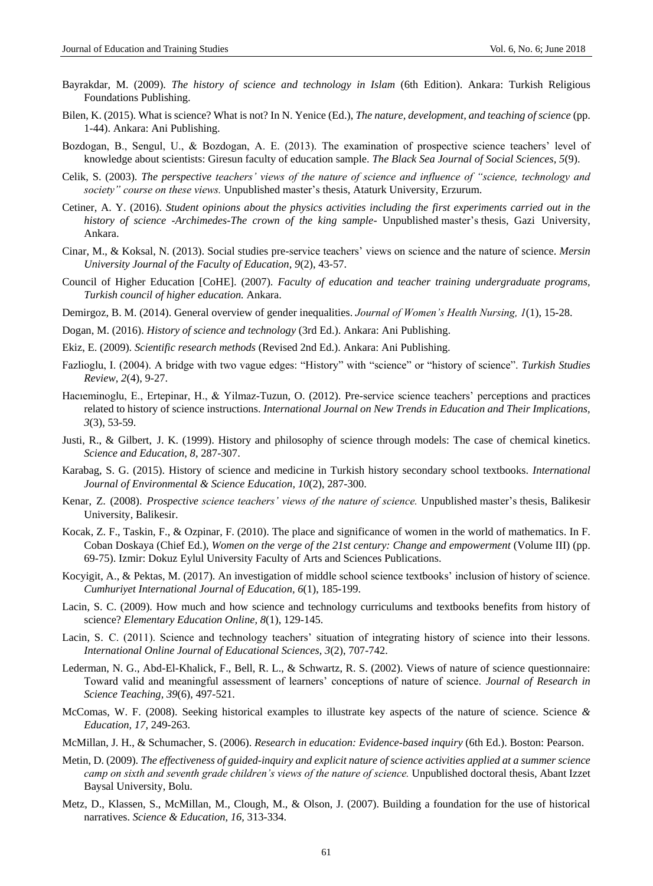- Bayrakdar, M. (2009). *The history of science and technology in Islam* (6th Edition). Ankara: Turkish Religious Foundations Publishing.
- Bilen, K. (2015). What is science? What is not? In N. Yenice (Ed.), *The nature, development, and teaching of science* (pp. 1-44). Ankara: Ani Publishing.
- Bozdogan, B., Sengul, U., & Bozdogan, A. E. (2013). The examination of prospective science teachers' level of knowledge about scientists: Giresun faculty of education sample. *The Black Sea Journal of Social Sciences, 5*(9).
- Celik, S. (2003). *The perspective teachers' views of the nature of science and influence of "science, technology and society" course on these views.* Unpublished master's thesis, Ataturk University, Erzurum.
- Cetiner, A. Y. (2016). *Student opinions about the physics activities including the first experiments carried out in the history of science -Archimedes-The crown of the king sample-* Unpublished master's thesis, Gazi University, Ankara.
- Cinar, M., & Koksal, N. (2013). Social studies pre-service teachers' views on science and the nature of science. *Mersin University Journal of the Faculty of Education, 9*(2), 43-57.
- Council of Higher Education [CoHE]. (2007). *Faculty of education and teacher training undergraduate programs, Turkish council of higher education.* Ankara.
- Demirgoz, B. M. (2014). General overview of gender inequalities. *Journal of Women's Health Nursing, 1*(1), 15-28.
- Dogan, M. (2016). *History of science and technology* (3rd Ed.). Ankara: Ani Publishing.
- Ekiz, E. (2009). *Scientific research methods* (Revised 2nd Ed.). Ankara: Ani Publishing.
- Fazlioglu, I. (2004). A bridge with two vague edges: "History" with "science" or "history of science". *Turkish Studies Review, 2*(4), 9-27.
- Hacıeminoglu, E., Ertepinar, H., & Yilmaz-Tuzun, O. (2012). Pre-service science teachers' perceptions and practices related to history of science instructions. *International Journal on New Trends in Education and Their Implications, 3*(3), 53-59.
- Justi, R., & Gilbert, J. K. (1999). History and philosophy of science through models: The case of chemical kinetics. *Science and Education, 8*, 287-307.
- Karabag, S. G. (2015). History of science and medicine in Turkish history secondary school textbooks. *International Journal of Environmental & Science Education, 10*(2), 287-300.
- Kenar, Z. (2008). *Prospective science teachers' views of the nature of science.* Unpublished master's thesis, Balikesir University, Balikesir.
- Kocak, Z. F., Taskin, F., & Ozpinar, F. (2010). The place and significance of women in the world of mathematics. In F. Coban Doskaya (Chief Ed.), *Women on the verge of the 21st century: Change and empowerment* (Volume III) (pp. 69-75). Izmir: Dokuz Eylul University Faculty of Arts and Sciences Publications.
- Kocyigit, A., & Pektas, M. (2017). An investigation of middle school science textbooks' inclusion of history of science. *Cumhuriyet International Journal of Education, 6*(1), 185-199.
- Lacin, S. C. (2009). How much and how science and technology curriculums and textbooks benefits from history of science? *Elementary Education Online, 8*(1), 129-145.
- Lacin, S. C. (2011). Science and technology teachers' situation of integrating history of science into their lessons. *International Online Journal of Educational Sciences, 3*(2), 707-742.
- Lederman, N. G., Abd-El-Khalick, F., Bell, R. L., & Schwartz, R. S. (2002). Views of nature of science questionnaire: Toward valid and meaningful assessment of learners' conceptions of nature of science. *Journal of Research in Science Teaching, 39*(6), 497-521.
- McComas, W. F. (2008). Seeking historical examples to illustrate key aspects of the nature of science. Science *& Education, 17,* 249-263.
- McMillan, J. H., & Schumacher, S. (2006). *Research in education: Evidence-based inquiry* (6th Ed.). Boston: Pearson.
- Metin, D. (2009). *The effectiveness of guided-inquiry and explicit nature of science activities applied at a summer science camp on sixth and seventh grade children's views of the nature of science.* Unpublished doctoral thesis, Abant Izzet Baysal University, Bolu.
- Metz, D., Klassen, S., McMillan, M., Clough, M., & Olson, J. (2007). Building a foundation for the use of historical narratives. *Science & Education, 16,* 313-334.